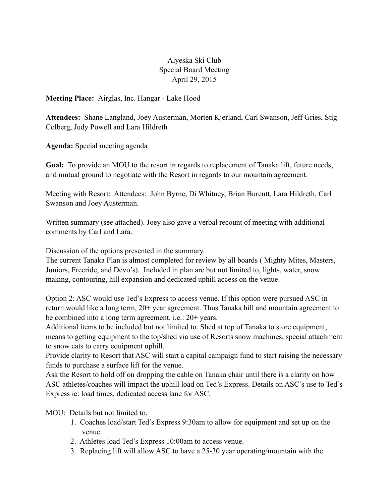## Alyeska Ski Club Special Board Meeting April 29, 2015

**Meeting Place:** Airglas, Inc. Hangar - Lake Hood

**Attendees:** Shane Langland, Joey Austerman, Morten Kjerland, Carl Swanson, Jeff Gries, Stig Colberg, Judy Powell and Lara Hildreth

**Agenda:** Special meeting agenda

**Goal:** To provide an MOU to the resort in regards to replacement of Tanaka lift, future needs, and mutual ground to negotiate with the Resort in regards to our mountain agreement.

Meeting with Resort: Attendees: John Byrne, Di Whitney, Brian Burentt, Lara Hildreth, Carl Swanson and Joey Austerman.

Written summary (see attached). Joey also gave a verbal recount of meeting with additional comments by Carl and Lara.

Discussion of the options presented in the summary.

The current Tanaka Plan is almost completed for review by all boards ( Mighty Mites, Masters, Juniors, Freeride, and Devo's). Included in plan are but not limited to, lights, water, snow making, contouring, hill expansion and dedicated uphill access on the venue.

Option 2: ASC would use Ted's Express to access venue. If this option were pursued ASC in return would like a long term, 20+ year agreement. Thus Tanaka hill and mountain agreement to be combined into a long term agreement. i.e.: 20+ years.

Additional items to be included but not limited to. Shed at top of Tanaka to store equipment, means to getting equipment to the top/shed via use of Resorts snow machines, special attachment to snow cats to carry equipment uphill.

Provide clarity to Resort that ASC will start a capital campaign fund to start raising the necessary funds to purchase a surface lift for the venue.

Ask the Resort to hold off on dropping the cable on Tanaka chair until there is a clarity on how ASC athletes/coaches will impact the uphill load on Ted's Express. Details on ASC's use to Ted's Express ie: load times, dedicated access lane for ASC.

MOU: Details but not limited to.

- 1. Coaches load/start Ted's Express 9:30am to allow for equipment and set up on the venue.
- 2. Athletes load Ted's Express 10:00am to access venue.
- 3. Replacing lift will allow ASC to have a 25-30 year operating/mountain with the